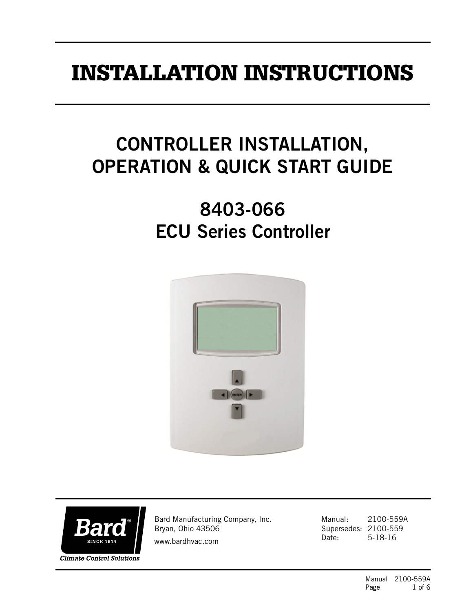# INSTALLATION INSTRUCTIONS

# CONTROLLER INSTALLATION, OPERATION & QUICK START GUIDE

# 8403-066 ECU Series Controller





Bard Manufacturing Company, Inc. Bryan, Ohio 43506

www.bardhvac.com

Manual: 2100-559A Supersedes: 2100-559 Date: 5-18-16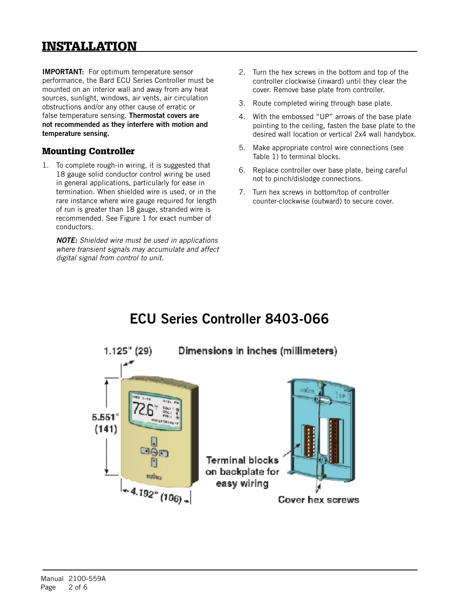## INSTALLATION

**IMPORTANT:** For optimum temperature sensor performance, the Bard ECU Series Controller must be mounted on an interior wall and away from any heat sources, sunlight, windows, air vents, air circulation obstructions and/or any other cause of erratic or false temperature sensing. Thermostat covers are not recommended as they interfere with motion and temperature sensing.

## Mounting Controller

1. To complete rough-in wiring, it is suggested that 18 gauge solid conductor control wiring be used in general applications, particularly for ease in termination. When shielded wire is used, or in the rare instance where wire gauge required for length of run is greater than 18 gauge, stranded wire is recommended. See Figure 1 for exact number of conductors.

*NOTE: Shielded wire must be used in applications where transient signals may accumulate and affect digital signal from control to unit.*

- 2. Turn the hex screws in the bottom and top of the controller clockwise (inward) until they clear the cover. Remove base plate from controller.
- 3. Route completed wiring through base plate.
- 4. With the embossed "UP" arrows of the base plate pointing to the ceiling, fasten the base plate to the desired wall location or vertical 2x4 wall handybox.
- 5. Make appropriate control wire connections (see Table 1) to terminal blocks.
- 6. Replace controller over base plate, being careful not to pinch/dislodge connections.
- 7. Turn hex screws in bottom/top of controller counter-clockwise (outward) to secure cover.



# ECU Series Controller 8403-066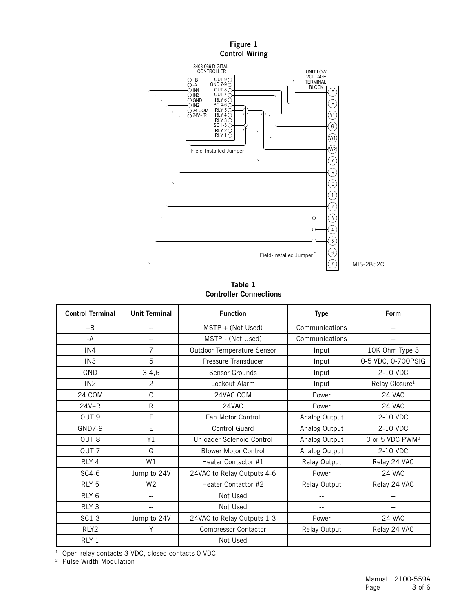### Figure 1 Control Wiring



Table 1 Controller Connections

| <b>Control Terminal</b> | <b>Unit Terminal</b> | <b>Function</b>             | <b>Type</b>    | <b>Form</b>                 |
|-------------------------|----------------------|-----------------------------|----------------|-----------------------------|
| $+B$                    |                      | MSTP + (Not Used)           | Communications | $-$                         |
| $-A$                    |                      | MSTP - (Not Used)           | Communications |                             |
| IN4                     | 7                    | Outdoor Temperature Sensor  | Input          | 10K Ohm Type 3              |
| IN <sub>3</sub>         | 5                    | Pressure Transducer         | Input          | 0-5 VDC, 0-700PSIG          |
| GND                     | 3,4,6                | Sensor Grounds              | Input          | 2-10 VDC                    |
| IN <sub>2</sub>         | $\overline{2}$       | Lockout Alarm               | Input          | Relay Closure <sup>1</sup>  |
| 24 COM                  | C                    | 24VAC COM                   | Power          | 24 VAC                      |
| $24V - R$               | R                    | 24VAC                       | Power          | 24 VAC                      |
| OUT <sub>9</sub>        | F                    | Fan Motor Control           | Analog Output  | 2-10 VDC                    |
| <b>GND7-9</b>           | E                    | <b>Control Guard</b>        | Analog Output  | 2-10 VDC                    |
| OUT <sub>8</sub>        | Y1                   | Unloader Solenoid Control   | Analog Output  | 0 or 5 VDC PWM <sup>2</sup> |
| OUT <sub>7</sub>        | G                    | <b>Blower Motor Control</b> | Analog Output  | 2-10 VDC                    |
| RLY 4                   | W1                   | Heater Contactor #1         | Relay Output   | Relay 24 VAC                |
| SC4-6                   | Jump to 24V          | 24VAC to Relay Outputs 4-6  | Power          | 24 VAC                      |
| RLY <sub>5</sub>        | W <sub>2</sub>       | Heater Contactor #2         | Relay Output   | Relay 24 VAC                |
| RLY <sub>6</sub>        |                      | Not Used                    |                |                             |
| RLY <sub>3</sub>        | --                   | Not Used                    |                |                             |
| $SC1-3$                 | Jump to 24V          | 24VAC to Relay Outputs 1-3  | Power          | 24 VAC                      |
| RLY2                    | Y                    | Compressor Contactor        | Relay Output   | Relay 24 VAC                |
| RLY 1                   |                      | Not Used                    |                |                             |

<sup>1</sup> Open relay contacts 3 VDC, closed contacts 0 VDC

<sup>2</sup> Pulse Width Modulation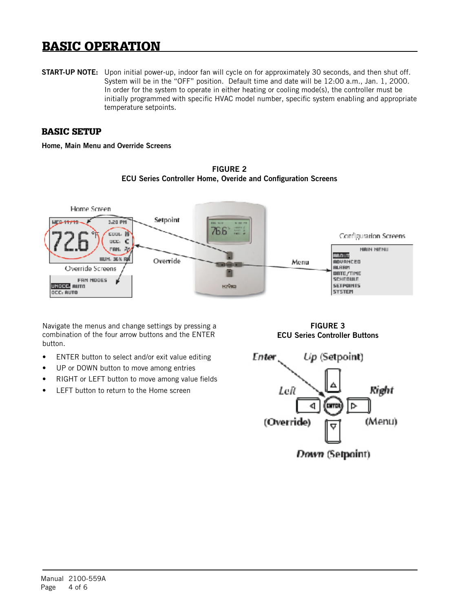## BASIC OPERATION

START-UP NOTE: Upon initial power-up, indoor fan will cycle on for approximately 30 seconds, and then shut off. System will be in the "OFF" position. Default time and date will be 12:00 a.m., Jan. 1, 2000. In order for the system to operate in either heating or cooling mode(s), the controller must be initially programmed with specific HVAC model number, specific system enabling and appropriate temperature setpoints.

## BASIC SETUP

### Home, Main Menu and Override Screens



FIGURE 2 ECU Series Controller Home, Overide and Configuration Screens

Navigate the menus and change settings by pressing a combination of the four arrow buttons and the ENTER button.

- ENTER button to select and/or exit value editing
- UP or DOWN button to move among entries
- RIGHT or LEFT button to move among value fields
- LEFT button to return to the Home screen

FIGURE 3 ECU Series Controller Buttons

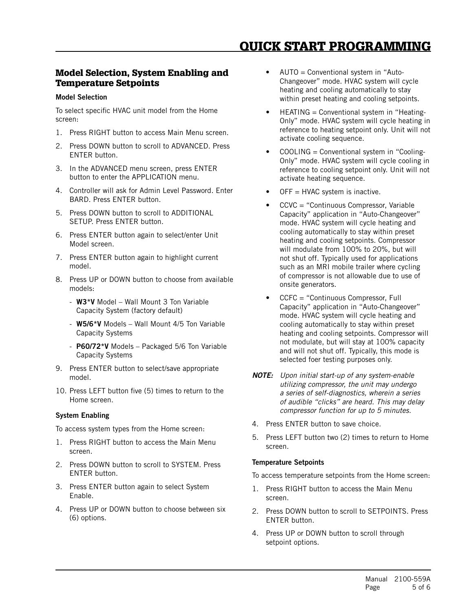# QUICK START PROGRAMMING

### Model Selection, System Enabling and Temperature Setpoints

#### Model Selection

To select specific HVAC unit model from the Home screen:

- 1. Press RIGHT button to access Main Menu screen.
- 2. Press DOWN button to scroll to ADVANCED. Press ENTER button.
- 3. In the ADVANCED menu screen, press ENTER button to enter the APPLICATION menu.
- 4. Controller will ask for Admin Level Password. Enter BARD. Press ENTER button.
- 5. Press DOWN button to scroll to ADDITIONAL SETUP. Press ENTER button.
- 6. Press ENTER button again to select/enter Unit Model screen.
- 7. Press ENTER button again to highlight current model.
- 8. Press UP or DOWN button to choose from available models:
	- W3\*V Model Wall Mount 3 Ton Variable Capacity System (factory default)
	- W5/6\*V Models Wall Mount 4/5 Ton Variable Capacity Systems
	- P60/72\*V Models Packaged 5/6 Ton Variable Capacity Systems
- 9. Press ENTER button to select/save appropriate model.
- 10. Press LEFT button five (5) times to return to the Home screen.

#### System Enabling

To access system types from the Home screen:

- 1. Press RIGHT button to access the Main Menu screen.
- 2. Press DOWN button to scroll to SYSTEM. Press ENTER button.
- 3. Press ENTER button again to select System Enable.
- 4. Press UP or DOWN button to choose between six (6) options.
- AUTO = Conventional system in "Auto-Changeover" mode. HVAC system will cycle heating and cooling automatically to stay within preset heating and cooling setpoints.
- HEATING = Conventional system in "Heating-Only" mode. HVAC system will cycle heating in reference to heating setpoint only. Unit will not activate cooling sequence.
- COOLING = Conventional system in "Cooling-Only" mode. HVAC system will cycle cooling in reference to cooling setpoint only. Unit will not activate heating sequence.
- $OFF = HVAC system$  is inactive.
- CCVC = "Continuous Compressor, Variable Capacity" application in "Auto-Changeover" mode. HVAC system will cycle heating and cooling automatically to stay within preset heating and cooling setpoints. Compressor will modulate from 100% to 20%, but will not shut off. Typically used for applications such as an MRI mobile trailer where cycling of compressor is not allowable due to use of onsite generators.
- CCFC = "Continuous Compressor, Full Capacity" application in "Auto-Changeover" mode. HVAC system will cycle heating and cooling automatically to stay within preset heating and cooling setpoints. Compressor will not modulate, but will stay at 100% capacity and will not shut off. Typically, this mode is selected foer testing purposes only.
- *NOTE: Upon initial start-up of any system-enable utilizing compressor, the unit may undergo a series of self-diagnostics, wherein a series of audible "clicks" are heard. This may delay compressor function for up to 5 minutes.*
- 4. Press ENTER button to save choice.
- 5. Press LEFT button two (2) times to return to Home screen.

#### Temperature Setpoints

To access temperature setpoints from the Home screen:

- 1. Press RIGHT button to access the Main Menu screen.
- 2. Press DOWN button to scroll to SETPOINTS. Press ENTER button.
- 4. Press UP or DOWN button to scroll through setpoint options.